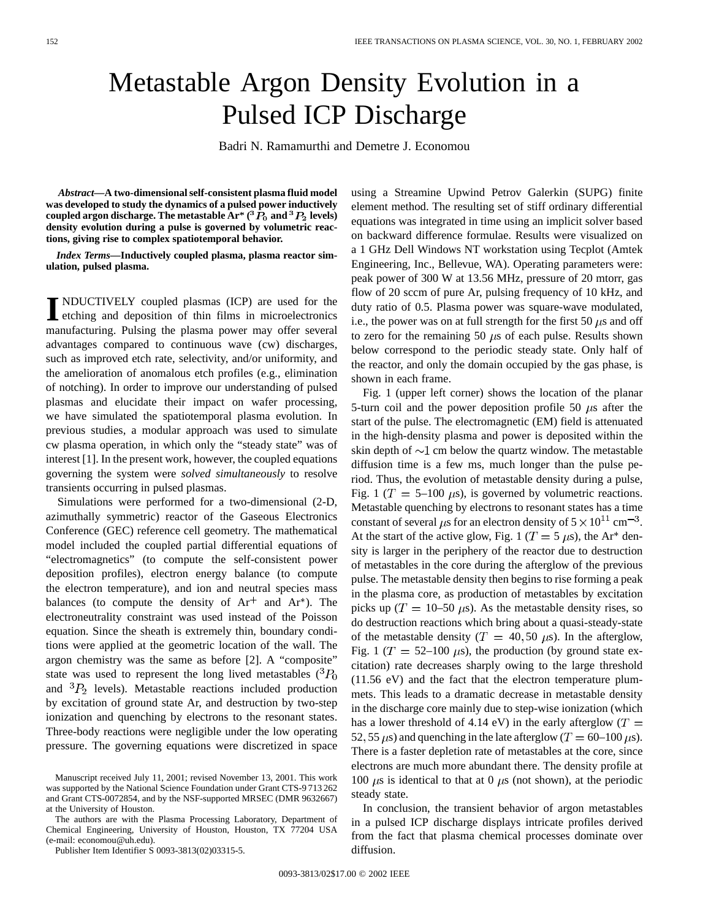## Metastable Argon Density Evolution in a Pulsed ICP Discharge

Badri N. Ramamurthi and Demetre J. Economou

*Abstract—***A two-dimensional self-consistent plasma fluid model was developed to study the dynamics of a pulsed power inductively**  $\mathbf{c}$  coupled argon discharge. The metastable  $\mathbf{Ar}^*$  (  $^3\hat{P}_0$  and  $^3P_2$  levels) **density evolution during a pulse is governed by volumetric reactions, giving rise to complex spatiotemporal behavior.**

*Index Terms—***Inductively coupled plasma, plasma reactor simulation, pulsed plasma.**

**I** NDUCTIVELY coupled plasmas (ICP) are used for the etching and deposition of thin films in microelectronics manufacturing. Pulsing the plasma power may offer several advantages compared to continuous wave (cw) discharges, such as improved etch rate, selectivity, and/or uniformity, and the amelioration of anomalous etch profiles (e.g., elimination of notching). In order to improve our understanding of pulsed plasmas and elucidate their impact on wafer processing, we have simulated the spatiotemporal plasma evolution. In previous studies, a modular approach was used to simulate cw plasma operation, in which only the "steady state" was of interest [1]. In the present work, however, the coupled equations governing the system were *solved simultaneously* to resolve transients occurring in pulsed plasmas.

Simulations were performed for a two-dimensional (2-D, azimuthally symmetric) reactor of the Gaseous Electronics Conference (GEC) reference cell geometry. The mathematical model included the coupled partial differential equations of "electromagnetics" (to compute the self-consistent power deposition profiles), electron energy balance (to compute the electron temperature), and ion and neutral species mass balances (to compute the density of  $Ar<sup>+</sup>$  and  $Ar<sup>*</sup>$ ). The electroneutrality constraint was used instead of the Poisson equation. Since the sheath is extremely thin, boundary conditions were applied at the geometric location of the wall. The argon chemistry was the same as before [2]. A "composite" state was used to represent the long lived metastables  $({}^{3}P_{0}$ and  ${}^{3}P_{2}$  levels). Metastable reactions included production by excitation of ground state Ar, and destruction by two-step ionization and quenching by electrons to the resonant states. Three-body reactions were negligible under the low operating pressure. The governing equations were discretized in space

The authors are with the Plasma Processing Laboratory, Department of Chemical Engineering, University of Houston, Houston, TX 77204 USA (e-mail: economou@uh.edu).

Publisher Item Identifier S 0093-3813(02)03315-5.

using a Streamine Upwind Petrov Galerkin (SUPG) finite element method. The resulting set of stiff ordinary differential equations was integrated in time using an implicit solver based on backward difference formulae. Results were visualized on a 1 GHz Dell Windows NT workstation using Tecplot (Amtek Engineering, Inc., Bellevue, WA). Operating parameters were: peak power of 300 W at 13.56 MHz, pressure of 20 mtorr, gas flow of 20 sccm of pure Ar, pulsing frequency of 10 kHz, and duty ratio of 0.5. Plasma power was square-wave modulated, i.e., the power was on at full strength for the first 50  $\mu$ s and off to zero for the remaining 50  $\mu$ s of each pulse. Results shown below correspond to the periodic steady state. Only half of the reactor, and only the domain occupied by the gas phase, is shown in each frame.

Fig. 1 (upper left corner) shows the location of the planar 5-turn coil and the power deposition profile 50  $\mu$ s after the start of the pulse. The electromagnetic (EM) field is attenuated in the high-density plasma and power is deposited within the skin depth of  $\sim$ 1 cm below the quartz window. The metastable diffusion time is a few ms, much longer than the pulse period. Thus, the evolution of metastable density during a pulse, Fig. 1 ( $T = 5{\text -}100 \,\mu s$ ), is governed by volumetric reactions. Metastable quenching by electrons to resonant states has a time constant of several  $\mu$ s for an electron density of  $5 \times 10^{11}$  cm<sup>-3</sup>. At the start of the active glow, Fig. 1 ( $T = 5 \mu s$ ), the Ar<sup>\*</sup> density is larger in the periphery of the reactor due to destruction of metastables in the core during the afterglow of the previous pulse. The metastable density then begins to rise forming a peak in the plasma core, as production of metastables by excitation picks up ( $T = 10-50 \mu s$ ). As the metastable density rises, so do destruction reactions which bring about a quasi-steady-state of the metastable density ( $T = 40, 50 \mu s$ ). In the afterglow, Fig. 1 ( $T = 52{\text -}100 \mu s$ ), the production (by ground state excitation) rate decreases sharply owing to the large threshold (11.56 eV) and the fact that the electron temperature plummets. This leads to a dramatic decrease in metastable density in the discharge core mainly due to step-wise ionization (which has a lower threshold of 4.14 eV) in the early afterglow  $(T =$ 52, 55  $\mu$ s) and quenching in the late afterglow (T = 60–100  $\mu$ s). There is a faster depletion rate of metastables at the core, since electrons are much more abundant there. The density profile at 100  $\mu$ s is identical to that at 0  $\mu$ s (not shown), at the periodic steady state.

In conclusion, the transient behavior of argon metastables in a pulsed ICP discharge displays intricate profiles derived from the fact that plasma chemical processes dominate over diffusion.

Manuscript received July 11, 2001; revised November 13, 2001. This work was supported by the National Science Foundation under Grant CTS-9 713 262 and Grant CTS-0072854, and by the NSF-supported MRSEC (DMR 9632667) at the University of Houston.